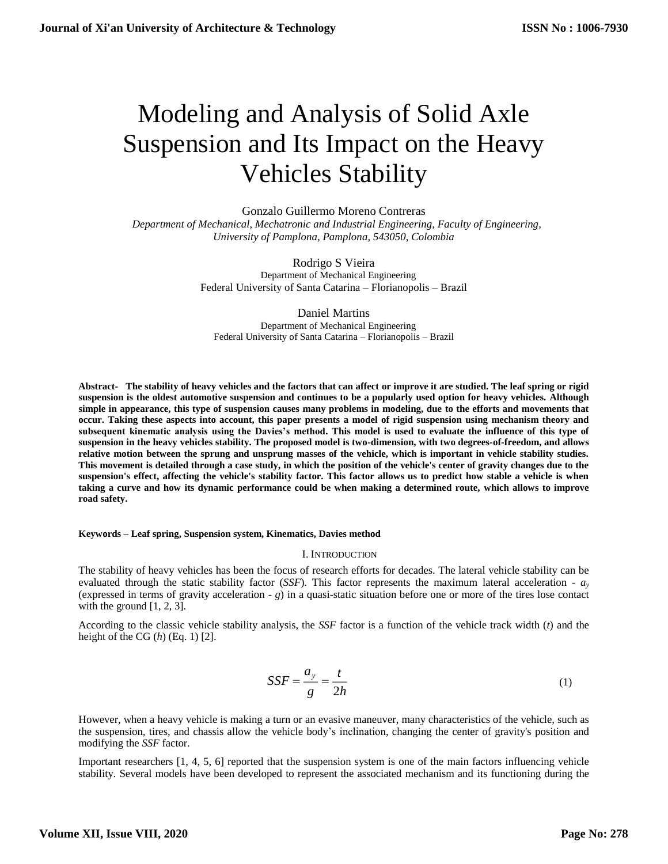# Modeling and Analysis of Solid Axle Suspension and Its Impact on the Heavy Vehicles Stability

Gonzalo Guillermo Moreno Contreras  *Department of Mechanical, Mechatronic and Industrial Engineering, Faculty of Engineering, University of Pamplona, Pamplona, 543050, Colombia*

> Rodrigo S Vieira Department of Mechanical Engineering Federal University of Santa Catarina – Florianopolis – Brazil

Daniel Martins Department of Mechanical Engineering Federal University of Santa Catarina – Florianopolis – Brazil

**Abstract- The stability of heavy vehicles and the factors that can affect or improve it are studied. The leaf spring or rigid suspension is the oldest automotive suspension and continues to be a popularly used option for heavy vehicles. Although simple in appearance, this type of suspension causes many problems in modeling, due to the efforts and movements that occur. Taking these aspects into account, this paper presents a model of rigid suspension using mechanism theory and subsequent kinematic analysis using the Davies's method. This model is used to evaluate the influence of this type of suspension in the heavy vehicles stability. The proposed model is two-dimension, with two degrees-of-freedom, and allows relative motion between the sprung and unsprung masses of the vehicle, which is important in vehicle stability studies. This movement is detailed through a case study, in which the position of the vehicle's center of gravity changes due to the suspension's effect, affecting the vehicle's stability factor. This factor allows us to predict how stable a vehicle is when taking a curve and how its dynamic performance could be when making a determined route, which allows to improve road safety.**

# **Keywords – Leaf spring, Suspension system, Kinematics, Davies method**

# I. INTRODUCTION

The stability of heavy vehicles has been the focus of research efforts for decades. The lateral vehicle stability can be evaluated through the static stability factor (*SSF*). This factor represents the maximum lateral acceleration -  $a_y$ (expressed in terms of gravity acceleration - *g*) in a quasi-static situation before one or more of the tires lose contact with the ground  $[1, 2, 3]$ .

According to the classic vehicle stability analysis, the *SSF* factor is a function of the vehicle track width (*t*) and the height of the CG (*h*) (Eq. 1) [2].

$$
SSF = \frac{a_y}{g} = \frac{t}{2h}
$$
 (1)

However, when a heavy vehicle is making a turn or an evasive maneuver, many characteristics of the vehicle, such as the suspension, tires, and chassis allow the vehicle body's inclination, changing the center of gravity's position and modifying the *SSF* factor.

Important researchers [1, 4, 5, 6] reported that the suspension system is one of the main factors influencing vehicle stability. Several models have been developed to represent the associated mechanism and its functioning during the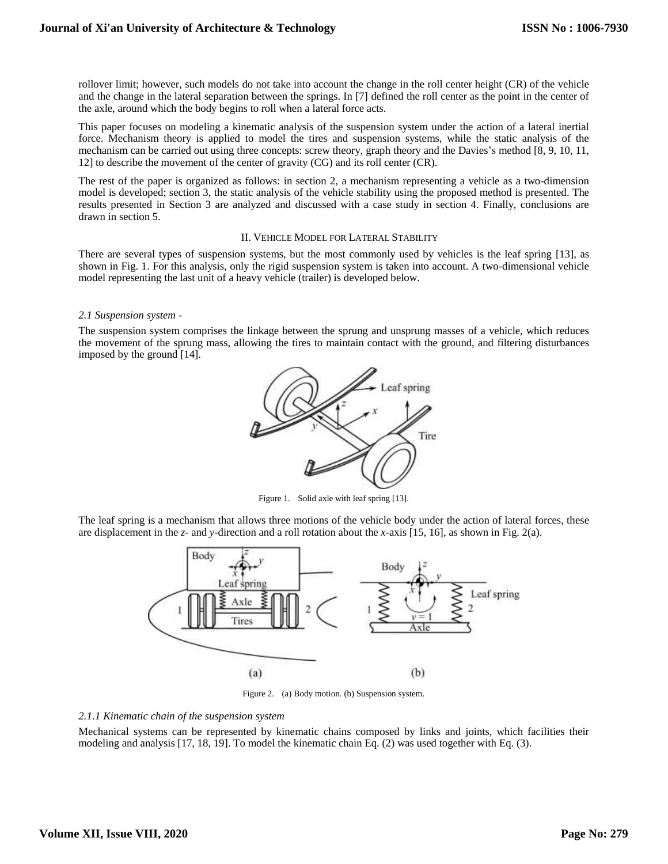rollover limit; however, such models do not take into account the change in the roll center height (CR) of the vehicle and the change in the lateral separation between the springs. In [7] defined the roll center as the point in the center of the axle, around which the body begins to roll when a lateral force acts.

This paper focuses on modeling a kinematic analysis of the suspension system under the action of a lateral inertial force. Mechanism theory is applied to model the tires and suspension systems, while the static analysis of the mechanism can be carried out using three concepts: screw theory, graph theory and the Davies's method [8, 9, 10, 11, 12] to describe the movement of the center of gravity (CG) and its roll center (CR).

The rest of the paper is organized as follows: in section 2, a mechanism representing a vehicle as a two-dimension model is developed; section 3, the static analysis of the vehicle stability using the proposed method is presented. The results presented in Section 3 are analyzed and discussed with a case study in section 4. Finally, conclusions are drawn in section 5.

### II. VEHICLE MODEL FOR LATERAL STABILITY

There are several types of suspension systems, but the most commonly used by vehicles is the leaf spring [13], as shown in Fig. 1. For this analysis, only the rigid suspension system is taken into account. A two-dimensional vehicle model representing the last unit of a heavy vehicle (trailer) is developed below.

# *2.1 Suspension system -*

The suspension system comprises the linkage between the sprung and unsprung masses of a vehicle, which reduces the movement of the sprung mass, allowing the tires to maintain contact with the ground, and filtering disturbances imposed by the ground [14].



Figure 1. Solid axle with leaf spring [13].

The leaf spring is a mechanism that allows three motions of the vehicle body under the action of lateral forces, these are displacement in the *z*- and *y-*direction and a roll rotation about the *x*-axis [15, 16], as shown in Fig. 2(a).



Figure 2. (a) Body motion. (b) Suspension system.

# *2.1.1 Kinematic chain of the suspension system*

Mechanical systems can be represented by kinematic chains composed by links and joints, which facilities their modeling and analysis [17, 18, 19]. To model the kinematic chain Eq. (2) was used together with Eq. (3).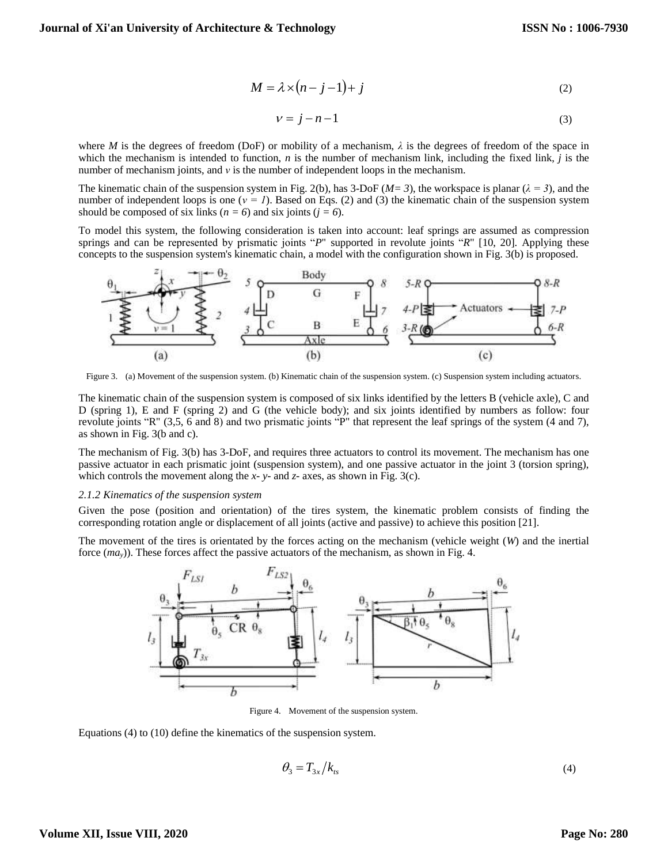$$
M = \lambda \times (n-j-1) + j \tag{2}
$$

$$
v = j - n - 1 \tag{3}
$$

where *M* is the degrees of freedom (DoF) or mobility of a mechanism,  $\lambda$  is the degrees of freedom of the space in which the mechanism is intended to function, *n* is the number of mechanism link, including the fixed link, *j* is the number of mechanism joints, and *ν* is the number of independent loops in the mechanism.

The kinematic chain of the suspension system in Fig. 2(b), has 3-DoF ( $M=3$ ), the workspace is planar ( $\lambda = 3$ ), and the number of independent loops is one (*ν = 1*). Based on Eqs. (2) and (3) the kinematic chain of the suspension system should be composed of six links ( $n = 6$ ) and six joints ( $j = 6$ ).

To model this system, the following consideration is taken into account: leaf springs are assumed as compression springs and can be represented by prismatic joints "*P*" supported in revolute joints "*R*" [10, 20]. Applying these concepts to the suspension system's kinematic chain, a model with the configuration shown in Fig. 3(b) is proposed.



Figure 3. (a) Movement of the suspension system. (b) Kinematic chain of the suspension system. (c) Suspension system including actuators.

The kinematic chain of the suspension system is composed of six links identified by the letters B (vehicle axle), C and D (spring 1), E and F (spring 2) and G (the vehicle body); and six joints identified by numbers as follow: four revolute joints "R" (3,5, 6 and 8) and two prismatic joints "P" that represent the leaf springs of the system (4 and 7), as shown in Fig. 3(b and c).

The mechanism of Fig. 3(b) has 3-DoF, and requires three actuators to control its movement. The mechanism has one passive actuator in each prismatic joint (suspension system), and one passive actuator in the joint 3 (torsion spring), which controls the movement along the *x*- *y*- and *z*- axes, as shown in Fig. 3(c).

#### *2.1.2 Kinematics of the suspension system*

Given the pose (position and orientation) of the tires system, the kinematic problem consists of finding the corresponding rotation angle or displacement of all joints (active and passive) to achieve this position [21].

The movement of the tires is orientated by the forces acting on the mechanism (vehicle weight (*W*) and the inertial force (*may*)). These forces affect the passive actuators of the mechanism, as shown in Fig. 4.



Figure 4. Movement of the suspension system.

Equations (4) to (10) define the kinematics of the suspension system.

$$
\theta_3 = T_{3x}/k_{ts} \tag{4}
$$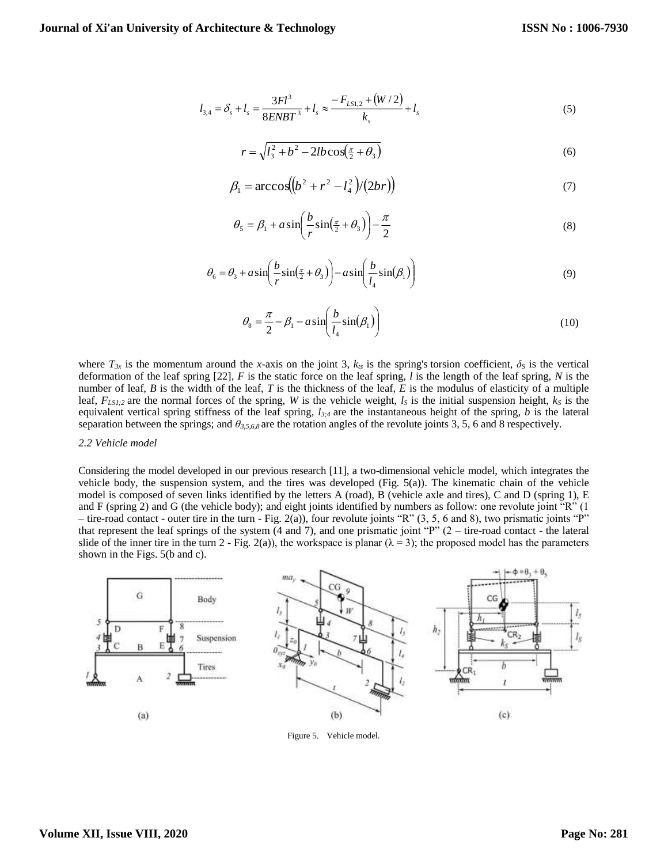$$
l_{3,4} = \delta_s + l_s = \frac{3Fl^3}{8ENBT^3} + l_s \approx \frac{-F_{LS1,2} + (W/2)}{k_s} + l_s
$$
 (5)

$$
r = \sqrt{l_3^2 + b^2 - 2lb \cos(\frac{\pi}{2} + \theta_3)}
$$
 (6)

$$
\beta_1 = \arccos((b^2 + r^2 - l_4^2)/(2br))
$$
\n(7)

$$
\theta_5 = \beta_1 + a \sin\left(\frac{b}{r} \sin\left(\frac{\pi}{2} + \theta_3\right)\right) - \frac{\pi}{2}
$$
\n(8)

$$
\theta_6 = \theta_3 + a \sin\left(\frac{b}{r}\sin\left(\frac{\pi}{2} + \theta_3\right)\right) - a \sin\left(\frac{b}{l_4}\sin\left(\beta_1\right)\right) \tag{9}
$$

$$
\theta_8 = \frac{\pi}{2} - \beta_1 - a \sin\left(\frac{b}{l_4} \sin(\beta_1)\right) \tag{10}
$$

where  $T_{3x}$  is the momentum around the *x*-axis on the joint 3,  $k_{ts}$  is the spring's torsion coefficient,  $\delta_s$  is the vertical deformation of the leaf spring [22], *F* is the static force on the leaf spring, *l* is the length of the leaf spring, *N* is the number of leaf, *B* is the width of the leaf, *T* is the thickness of the leaf, *E* is the modulus of elasticity of a multiple leaf,  $F_{LS1;2}$  are the normal forces of the spring, *W* is the vehicle weight,  $l_s$  is the initial suspension height,  $k_s$  is the equivalent vertical spring stiffness of the leaf spring, *l3;4* are the instantaneous height of the spring, *b* is the lateral separation between the springs; and *θ3,5,6,8* are the rotation angles of the revolute joints 3, 5, 6 and 8 respectively.

#### *2.2 Vehicle model*

Considering the model developed in our previous research [11], a two-dimensional vehicle model, which integrates the vehicle body, the suspension system, and the tires was developed (Fig. 5(a)). The kinematic chain of the vehicle model is composed of seven links identified by the letters A (road), B (vehicle axle and tires), C and D (spring 1), E and F (spring 2) and G (the vehicle body); and eight joints identified by numbers as follow: one revolute joint "R" (1 – tire-road contact - outer tire in the turn - Fig. 2(a)), four revolute joints "R" (3, 5, 6 and 8), two prismatic joints "P" that represent the leaf springs of the system  $(4 \text{ and } 7)$ , and one prismatic joint "P"  $(2 - \text{tire-road contact - the lateral})$ slide of the inner tire in the turn 2 - Fig. 2(a)), the workspace is planar ( $\lambda = 3$ ); the proposed model has the parameters shown in the Figs. 5(b and c).



Figure 5. Vehicle model.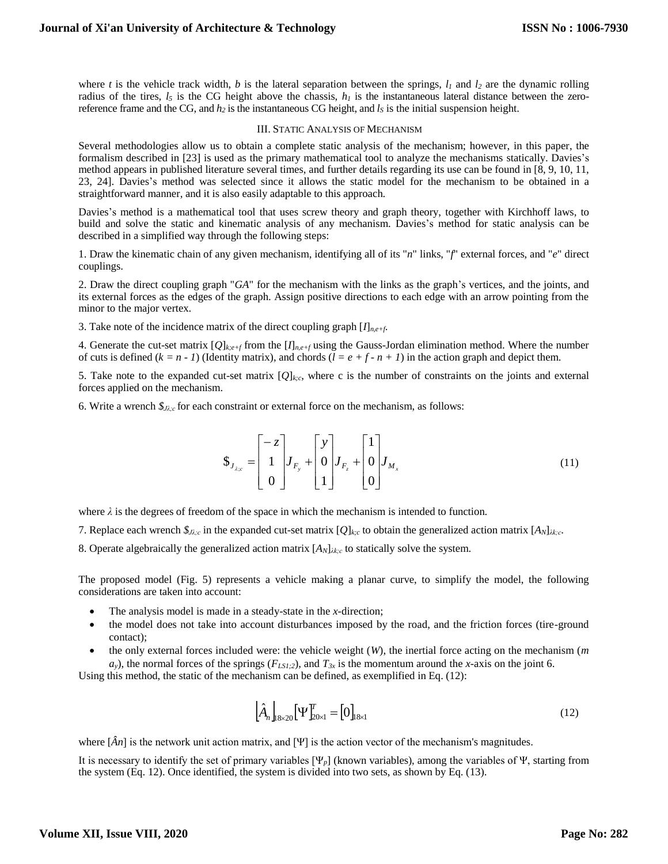where *t* is the vehicle track width, *b* is the lateral separation between the springs, *l<sup>1</sup>* and *l<sup>2</sup>* are the dynamic rolling radius of the tires,  $l_5$  is the CG height above the chassis,  $h_l$  is the instantaneous lateral distance between the zeroreference frame and the CG, and *h<sup>2</sup>* is the instantaneous CG height, and *l<sup>S</sup>* is the initial suspension height.

# III. STATIC ANALYSIS OF MECHANISM

Several methodologies allow us to obtain a complete static analysis of the mechanism; however, in this paper, the formalism described in [23] is used as the primary mathematical tool to analyze the mechanisms statically. Davies's method appears in published literature several times, and further details regarding its use can be found in [8, 9, 10, 11, 23, 24]. Davies's method was selected since it allows the static model for the mechanism to be obtained in a straightforward manner, and it is also easily adaptable to this approach.

Davies's method is a mathematical tool that uses screw theory and graph theory, together with Kirchhoff laws, to build and solve the static and kinematic analysis of any mechanism. Davies's method for static analysis can be described in a simplified way through the following steps:

1. Draw the kinematic chain of any given mechanism, identifying all of its "*n*" links, "*f*" external forces, and "*e*" direct couplings.

2. Draw the direct coupling graph "*GA*" for the mechanism with the links as the graph's vertices, and the joints, and its external forces as the edges of the graph. Assign positive directions to each edge with an arrow pointing from the minor to the major vertex.

3. Take note of the incidence matrix of the direct coupling graph [*I*]*n,e+f*.

4. Generate the cut-set matrix  $[Q]_{k;e+f}$  from the  $[I]_{n,e+f}$  using the Gauss-Jordan elimination method. Where the number of cuts is defined  $(k = n - 1)$  (Identity matrix), and chords  $(l = e + f - n + 1)$  in the action graph and depict them.

5. Take note to the expanded cut-set matrix  $[Q]_{k;c}$ , where c is the number of constraints on the joints and external forces applied on the mechanism.

6. Write a wrench *\$Jλ;c* for each constraint or external force on the mechanism, as follows:

$$
\mathbf{\mathbb{S}}_{J_{\lambda;c}} = \begin{bmatrix} -z \\ 1 \\ 0 \end{bmatrix} J_{F_y} + \begin{bmatrix} y \\ 0 \\ 1 \end{bmatrix} J_{F_z} + \begin{bmatrix} 1 \\ 0 \\ 0 \end{bmatrix} J_{M_x}
$$
\n(11)

where  $\lambda$  is the degrees of freedom of the space in which the mechanism is intended to function.

7. Replace each wrench  $\mathcal{S}_{J_i,c}$  in the expanded cut-set matrix  $[Q]_{k,c}$  to obtain the generalized action matrix  $[A_N]_{k,c}$ .

8. Operate algebraically the generalized action matrix  $[A_N]_{\lambda k;c}$  to statically solve the system.

The proposed model (Fig. 5) represents a vehicle making a planar curve, to simplify the model, the following considerations are taken into account:

- The analysis model is made in a steady-state in the *x-*direction;
- the model does not take into account disturbances imposed by the road, and the friction forces (tire-ground contact);
- the only external forces included were: the vehicle weight (*W*), the inertial force acting on the mechanism (*m*   $a_y$ ), the normal forces of the springs ( $F_{LS1;2}$ ), and  $T_{3x}$  is the momentum around the *x*-axis on the joint 6.

Using this method, the static of the mechanism can be defined, as exemplified in Eq. (12):

$$
\left[\hat{A}_n\right]_{8\times20} \left[\Psi_{20\times1}^T = [0]_{18\times1}\right] \tag{12}
$$

where  $[\hat{A}n]$  is the network unit action matrix, and [Ψ] is the action vector of the mechanism's magnitudes.

It is necessary to identify the set of primary variables  $[\Psi_p]$  (known variables), among the variables of Ψ, starting from the system (Eq. 12). Once identified, the system is divided into two sets, as shown by Eq. (13).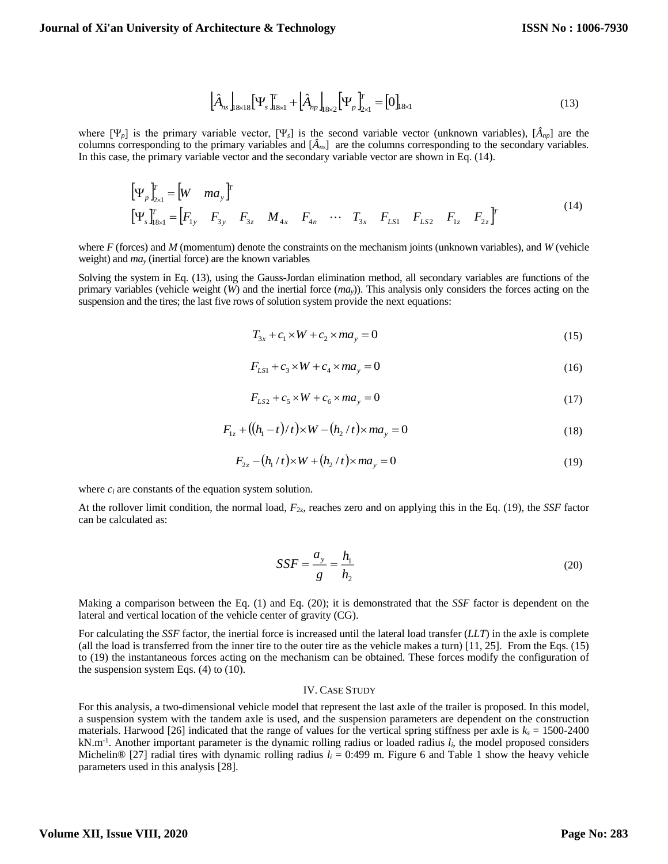$$
\left[\hat{A}_{ns}\right]_{8\times18} \left[\Psi_s\right]_{18\times1}^T + \left[\hat{A}_{np}\right]_{8\times2} \left[\Psi_p\right]_{2\times1}^T = \left[0\right]_{18\times1} \tag{13}
$$

where [Ψ*p*] is the primary variable vector, [Ψ*s*] is the second variable vector (unknown variables), [*Ânp*] are the columns corresponding to the primary variables and [*Âns*] are the columns corresponding to the secondary variables. In this case, the primary variable vector and the secondary variable vector are shown in Eq. (14).

$$
\begin{bmatrix} \Psi_p \Psi_{2x1}^T = \begin{bmatrix} W & ma_y \end{bmatrix}^T \\ \begin{bmatrix} \Psi_s \Psi_{1sx1}^T = \begin{bmatrix} F_{1y} & F_{3y} & F_{3z} & M_{4x} & F_{4n} & \cdots & T_{3x} & F_{LS1} & F_{LS1} & F_{LS2} & F_{1z} & F_{2z} \end{bmatrix}^T \end{bmatrix}
$$
\n(14)

where *F* (forces) and *M* (momentum) denote the constraints on the mechanism joints (unknown variables), and *W* (vehicle weight) and *ma<sup>y</sup>* (inertial force) are the known variables

Solving the system in Eq. (13), using the Gauss-Jordan elimination method, all secondary variables are functions of the primary variables (vehicle weight (*W*) and the inertial force (*may*)). This analysis only considers the forces acting on the suspension and the tires; the last five rows of solution system provide the next equations:

$$
T_{3x} + c_1 \times W + c_2 \times ma_y = 0 \tag{15}
$$

$$
F_{LS1} + c_3 \times W + c_4 \times ma_y = 0 \tag{16}
$$

$$
F_{LS2} + c_5 \times W + c_6 \times ma_y = 0 \tag{17}
$$

$$
F_{1z} + ((h_1 - t)/t) \times W - (h_2/t) \times ma_y = 0
$$
\n(18)

$$
F_{2z} - (h_1 / t) \times W + (h_2 / t) \times ma_y = 0
$$
\n(19)

where  $c_i$  are constants of the equation system solution.

At the rollover limit condition, the normal load, *F*2z, reaches zero and on applying this in the Eq. (19), the *SSF* factor can be calculated as:

$$
SSF = \frac{a_y}{g} = \frac{h_1}{h_2} \tag{20}
$$

Making a comparison between the Eq. (1) and Eq. (20); it is demonstrated that the *SSF* factor is dependent on the lateral and vertical location of the vehicle center of gravity (CG).

For calculating the *SSF* factor, the inertial force is increased until the lateral load transfer (*LLT*) in the axle is complete (all the load is transferred from the inner tire to the outer tire as the vehicle makes a turn) [11, 25]. From the Eqs. (15) to (19) the instantaneous forces acting on the mechanism can be obtained. These forces modify the configuration of the suspension system Eqs.  $(4)$  to  $(10)$ .

## IV. CASE STUDY

For this analysis, a two-dimensional vehicle model that represent the last axle of the trailer is proposed. In this model, a suspension system with the tandem axle is used, and the suspension parameters are dependent on the construction materials. Harwood [26] indicated that the range of values for the vertical spring stiffness per axle is  $k_s = 1500-2400$ kN.m-1 . Another important parameter is the dynamic rolling radius or loaded radius *li*, the model proposed considers Michelin® [27] radial tires with dynamic rolling radius  $l_i = 0:499$  m. Figure 6 and Table 1 show the heavy vehicle parameters used in this analysis [28].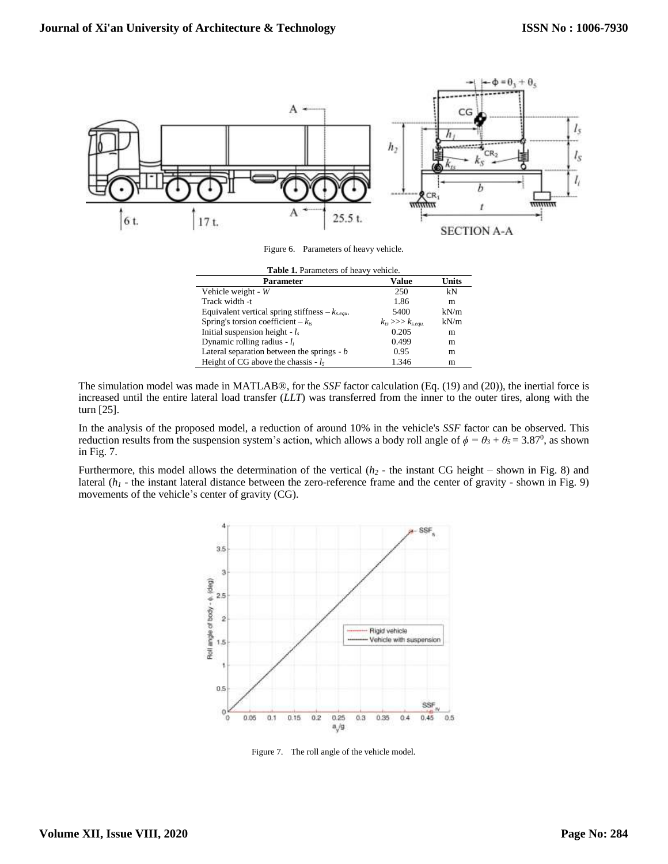

The simulation model was made in MATLAB®, for the *SSF* factor calculation (Eq. (19) and (20)), the inertial force is increased until the entire lateral load transfer (*LLT*) was transferred from the inner to the outer tires, along with the turn [25].

In the analysis of the proposed model, a reduction of around 10% in the vehicle's *SSF* factor can be observed. This reduction results from the suspension system's action, which allows a body roll angle of  $\phi = \theta_3 + \theta_5 = 3.87^0$ , as shown in Fig. 7.

Furthermore, this model allows the determination of the vertical (*h<sup>2</sup>* - the instant CG height – shown in Fig. 8) and lateral  $(h_1)$  - the instant lateral distance between the zero-reference frame and the center of gravity - shown in Fig. 9) movements of the vehicle's center of gravity (CG).



Figure 7. The roll angle of the vehicle model.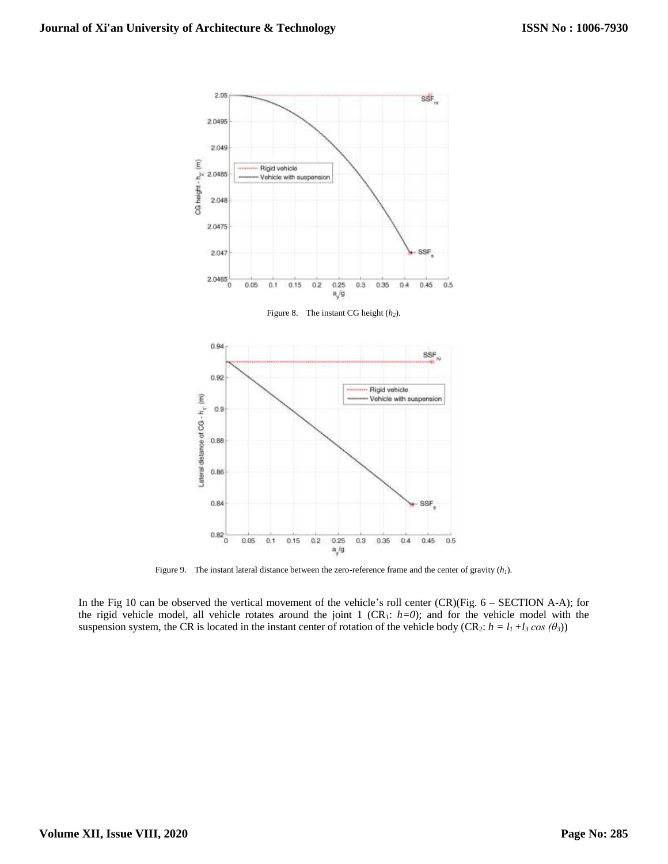

 $a/g$ Figure 9. The instant lateral distance between the zero-reference frame and the center of gravity (*h1*).

In the Fig 10 can be observed the vertical movement of the vehicle's roll center (CR)(Fig. 6 – SECTION A-A); for the rigid vehicle model, all vehicle rotates around the joint 1 (CR1: *h=0*); and for the vehicle model with the suspension system, the CR is located in the instant center of rotation of the vehicle body (CR<sub>2</sub>:  $h = l_1 + l_3 \cos(\theta_3)$ )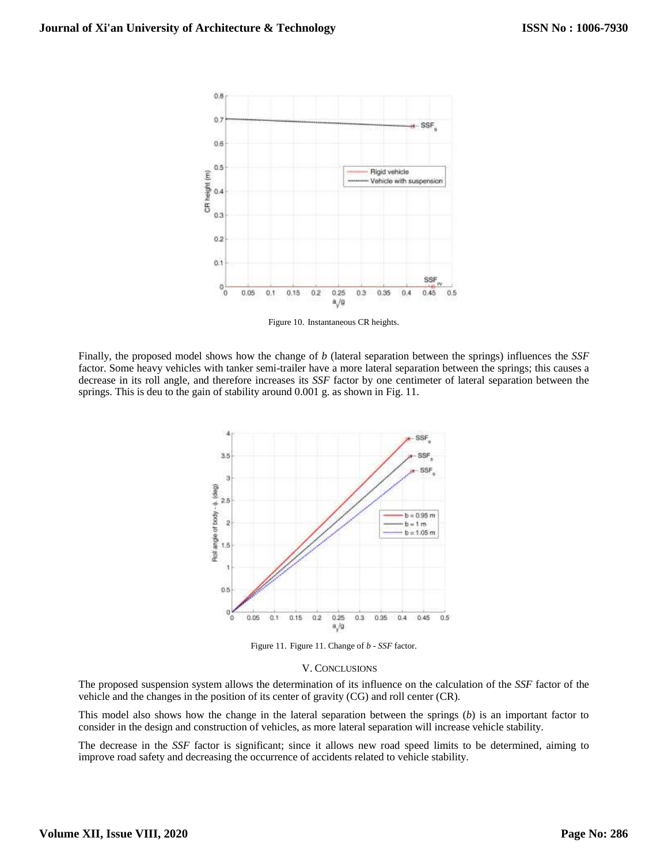

Figure 10. Instantaneous CR heights.

Finally, the proposed model shows how the change of *b* (lateral separation between the springs) influences the *SSF* factor. Some heavy vehicles with tanker semi-trailer have a more lateral separation between the springs; this causes a decrease in its roll angle, and therefore increases its *SSF* factor by one centimeter of lateral separation between the springs. This is deu to the gain of stability around 0.001 g. as shown in Fig. 11.



Figure 11. Figure 11. Change of *b - SSF* factor.

### V. CONCLUSIONS

The proposed suspension system allows the determination of its influence on the calculation of the *SSF* factor of the vehicle and the changes in the position of its center of gravity (CG) and roll center (CR).

This model also shows how the change in the lateral separation between the springs (*b*) is an important factor to consider in the design and construction of vehicles, as more lateral separation will increase vehicle stability.

The decrease in the *SSF* factor is significant; since it allows new road speed limits to be determined, aiming to improve road safety and decreasing the occurrence of accidents related to vehicle stability.